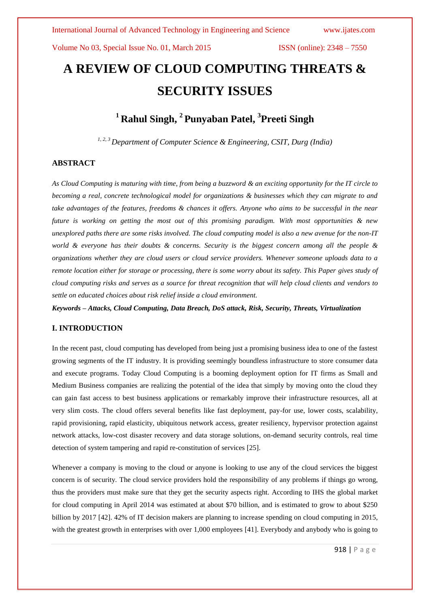# **A REVIEW OF CLOUD COMPUTING THREATS & SECURITY ISSUES**

# **<sup>1</sup> Rahul Singh, <sup>2</sup> Punyaban Patel, 3 Preeti Singh**

*1, 2, <sup>3</sup> Department of Computer Science & Engineering, CSIT, Durg (India)*

# **ABSTRACT**

*As Cloud Computing is maturing with time, from being a buzzword & an exciting opportunity for the IT circle to becoming a real, concrete technological model for organizations & businesses which they can migrate to and take advantages of the features, freedoms & chances it offers. Anyone who aims to be successful in the near future is working on getting the most out of this promising paradigm. With most opportunities & new unexplored paths there are some risks involved. The cloud computing model is also a new avenue for the non-IT world & everyone has their doubts & concerns. Security is the biggest concern among all the people & organizations whether they are cloud users or cloud service providers. Whenever someone uploads data to a remote location either for storage or processing, there is some worry about its safety. This Paper gives study of cloud computing risks and serves as a source for threat recognition that will help cloud clients and vendors to settle on educated choices about risk relief inside a cloud environment.*

*Keywords* **–** *Attacks, Cloud Computing, Data Breach, DoS attack, Risk, Security, Threats, Virtualization*

# **I. INTRODUCTION**

In the recent past, cloud computing has developed from being just a promising business idea to one of the fastest growing segments of the IT industry. It is providing seemingly boundless infrastructure to store consumer data and execute programs. Today Cloud Computing is a booming deployment option for IT firms as Small and Medium Business companies are realizing the potential of the idea that simply by moving onto the cloud they can gain fast access to best business applications or remarkably improve their infrastructure resources, all at very slim costs. The cloud offers several benefits like fast deployment, pay-for use, lower costs, scalability, rapid provisioning, rapid elasticity, ubiquitous network access, greater resiliency, hypervisor protection against network attacks, low-cost disaster recovery and data storage solutions, on-demand security controls, real time detection of system tampering and rapid re-constitution of services [25].

Whenever a company is moving to the cloud or anyone is looking to use any of the cloud services the biggest concern is of security. The cloud service providers hold the responsibility of any problems if things go wrong, thus the providers must make sure that they get the security aspects right. According to IHS the global market for cloud computing in April 2014 was estimated at about \$70 billion, and is estimated to grow to about \$250 billion by 2017 [42]. 42% of IT decision makers are planning to increase spending on cloud computing in 2015, with the greatest growth in enterprises with over 1,000 employees [41]. Everybody and anybody who is going to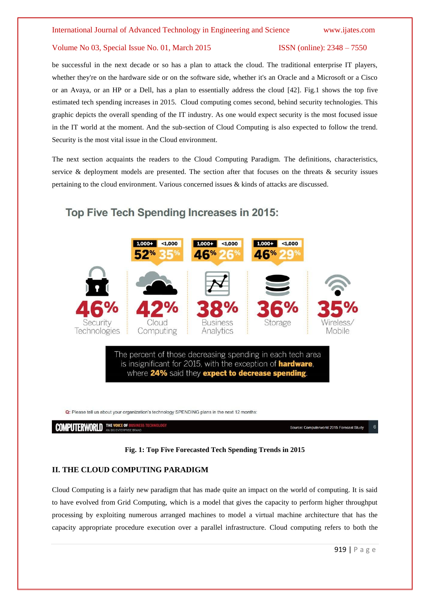be successful in the next decade or so has a plan to attack the cloud. The traditional enterprise IT players, whether they're on the hardware side or on the software side, whether it's an Oracle and a Microsoft or a Cisco or an Avaya, or an HP or a Dell, has a plan to essentially address the cloud [42]. Fig.1 shows the top five estimated tech spending increases in 2015. Cloud computing comes second, behind security technologies. This graphic depicts the overall spending of the IT industry. As one would expect security is the most focused issue in the IT world at the moment. And the sub-section of Cloud Computing is also expected to follow the trend. Security is the most vital issue in the Cloud environment.

The next section acquaints the readers to the Cloud Computing Paradigm. The definitions, characteristics, service & deployment models are presented. The section after that focuses on the threats  $\&$  security issues pertaining to the cloud environment. Various concerned issues & kinds of attacks are discussed.



Q: Please tell us about your organization's technology SPENDING plans in the next 12 months:

**COMPUTERWORLD** THE VOICE OF

Source: Computerworld 2015 Forecast Study

### **Fig. 1: Top Five Forecasted Tech Spending Trends in 2015**

# **II. THE CLOUD COMPUTING PARADIGM**

Cloud Computing is a fairly new paradigm that has made quite an impact on the world of computing. It is said to have evolved from Grid Computing, which is a model that gives the capacity to perform higher throughput processing by exploiting numerous arranged machines to model a virtual machine architecture that has the capacity appropriate procedure execution over a parallel infrastructure. Cloud computing refers to both the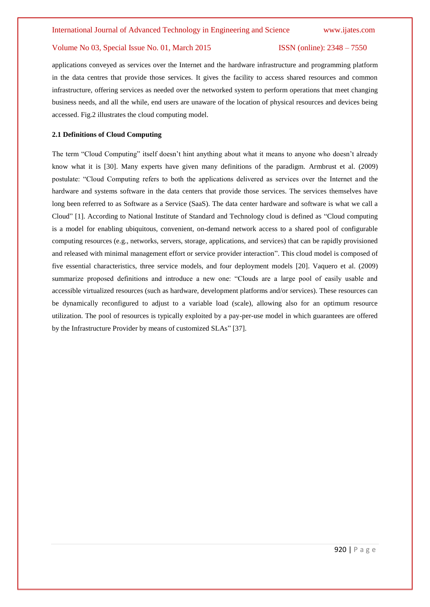applications conveyed as services over the Internet and the hardware infrastructure and programming platform in the data centres that provide those services. It gives the facility to access shared resources and common infrastructure, offering services as needed over the networked system to perform operations that meet changing business needs, and all the while, end users are unaware of the location of physical resources and devices being accessed. Fig.2 illustrates the cloud computing model.

#### **2.1 Definitions of Cloud Computing**

The term "Cloud Computing" itself doesn't hint anything about what it means to anyone who doesn't already know what it is [30]. Many experts have given many definitions of the paradigm. Armbrust et al. (2009) postulate: "Cloud Computing refers to both the applications delivered as services over the Internet and the hardware and systems software in the data centers that provide those services. The services themselves have long been referred to as Software as a Service (SaaS). The data center hardware and software is what we call a Cloud" [1]. According to National Institute of Standard and Technology cloud is defined as "Cloud computing is a model for enabling ubiquitous, convenient, on-demand network access to a shared pool of configurable computing resources (e.g., networks, servers, storage, applications, and services) that can be rapidly provisioned and released with minimal management effort or service provider interaction". This cloud model is composed of five essential characteristics, three service models, and four deployment models [20]. Vaquero et al. (2009) summarize proposed definitions and introduce a new one: "Clouds are a large pool of easily usable and accessible virtualized resources (such as hardware, development platforms and/or services). These resources can be dynamically reconfigured to adjust to a variable load (scale), allowing also for an optimum resource utilization. The pool of resources is typically exploited by a pay-per-use model in which guarantees are offered by the Infrastructure Provider by means of customized SLAs" [37].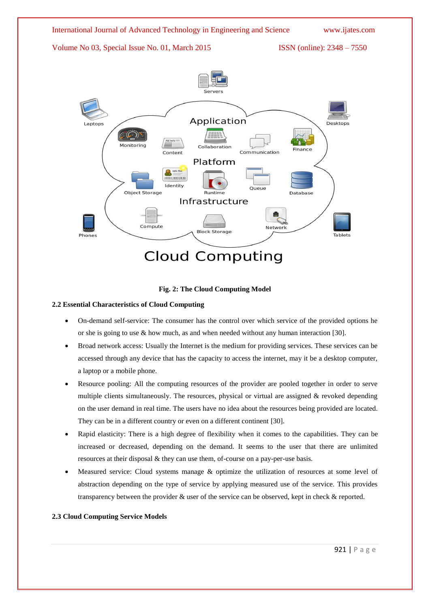



# **2.2 Essential Characteristics of Cloud Computing**

- On-demand self-service: The consumer has the control over which service of the provided options he or she is going to use  $&$  how much, as and when needed without any human interaction [30].
- Broad network access: Usually the Internet is the medium for providing services. These services can be accessed through any device that has the capacity to access the internet, may it be a desktop computer, a laptop or a mobile phone.
- Resource pooling: All the computing resources of the provider are pooled together in order to serve multiple clients simultaneously. The resources, physical or virtual are assigned  $\&$  revoked depending on the user demand in real time. The users have no idea about the resources being provided are located. They can be in a different country or even on a different continent [30].
- Rapid elasticity: There is a high degree of flexibility when it comes to the capabilities. They can be increased or decreased, depending on the demand. It seems to the user that there are unlimited resources at their disposal & they can use them, of-course on a pay-per-use basis.
- Measured service: Cloud systems manage & optimize the utilization of resources at some level of abstraction depending on the type of service by applying measured use of the service. This provides transparency between the provider & user of the service can be observed, kept in check & reported.

# **2.3 Cloud Computing Service Models**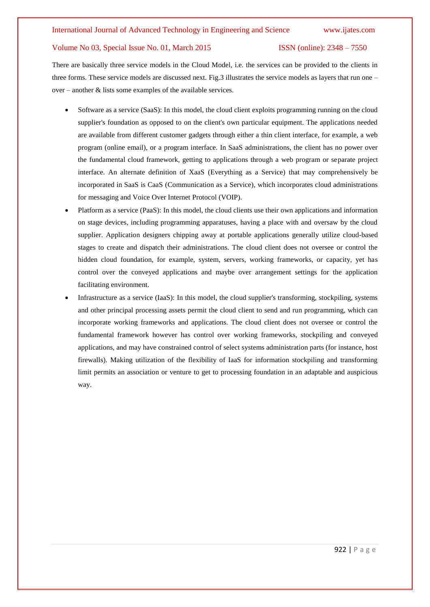There are basically three service models in the Cloud Model, i.e. the services can be provided to the clients in three forms. These service models are discussed next. Fig.3 illustrates the service models as layers that run one – over – another & lists some examples of the available services.

- Software as a service (SaaS): In this model, the cloud client exploits programming running on the cloud supplier's foundation as opposed to on the client's own particular equipment. The applications needed are available from different customer gadgets through either a thin client interface, for example, a web program (online email), or a program interface. In SaaS administrations, the client has no power over the fundamental cloud framework, getting to applications through a web program or separate project interface. An alternate definition of XaaS (Everything as a Service) that may comprehensively be incorporated in SaaS is CaaS (Communication as a Service), which incorporates cloud administrations for messaging and Voice Over Internet Protocol (VOIP).
- Platform as a service (PaaS): In this model, the cloud clients use their own applications and information on stage devices, including programming apparatuses, having a place with and oversaw by the cloud supplier. Application designers chipping away at portable applications generally utilize cloud-based stages to create and dispatch their administrations. The cloud client does not oversee or control the hidden cloud foundation, for example, system, servers, working frameworks, or capacity, yet has control over the conveyed applications and maybe over arrangement settings for the application facilitating environment.
- Infrastructure as a service (IaaS): In this model, the cloud supplier's transforming, stockpiling, systems and other principal processing assets permit the cloud client to send and run programming, which can incorporate working frameworks and applications. The cloud client does not oversee or control the fundamental framework however has control over working frameworks, stockpiling and conveyed applications, and may have constrained control of select systems administration parts (for instance, host firewalls). Making utilization of the flexibility of IaaS for information stockpiling and transforming limit permits an association or venture to get to processing foundation in an adaptable and auspicious way.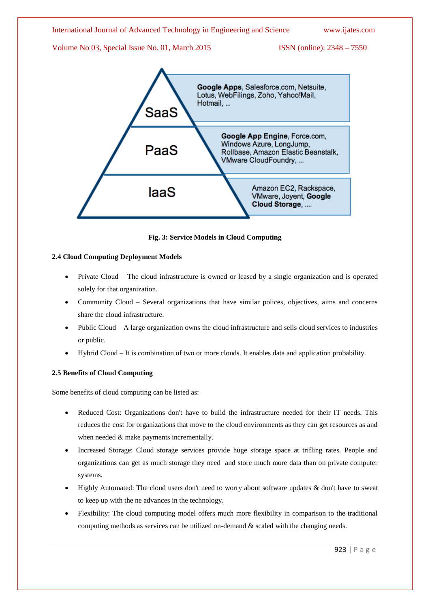

**Fig. 3: Service Models in Cloud Computing**

VMware, Joyent, Google Cloud Storage, ....

# **2.4 Cloud Computing Deployment Models**

- Private Cloud The cloud infrastructure is owned or leased by a single organization and is operated solely for that organization.
- Community Cloud Several organizations that have similar polices, objectives, aims and concerns share the cloud infrastructure.
- Public Cloud A large organization owns the cloud infrastructure and sells cloud services to industries or public.
- Hybrid Cloud It is combination of two or more clouds. It enables data and application probability.

# **2.5 Benefits of Cloud Computing**

Some benefits of cloud computing can be listed as:

- Reduced Cost: Organizations don't have to build the infrastructure needed for their IT needs. This reduces the cost for organizations that move to the cloud environments as they can get resources as and when needed  $&$  make payments incrementally.
- Increased Storage: Cloud storage services provide huge storage space at trifling rates. People and organizations can get as much storage they need and store much more data than on private computer systems.
- Highly Automated: The cloud users don't need to worry about software updates & don't have to sweat to keep up with the ne advances in the technology.
- Flexibility: The cloud computing model offers much more flexibility in comparison to the traditional computing methods as services can be utilized on-demand  $\&$  scaled with the changing needs.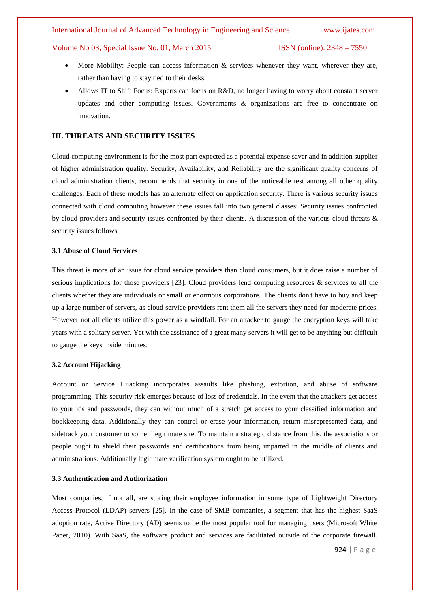### Volume No 03, Special Issue No. 01, March 2015 ISSN (online): 2348 – 7550

- More Mobility: People can access information & services whenever they want, wherever they are, rather than having to stay tied to their desks.
- Allows IT to Shift Focus: Experts can focus on R&D, no longer having to worry about constant server updates and other computing issues. Governments & organizations are free to concentrate on innovation.

#### **III. THREATS AND SECURITY ISSUES**

Cloud computing environment is for the most part expected as a potential expense saver and in addition supplier of higher administration quality. Security, Availability, and Reliability are the significant quality concerns of cloud administration clients, recommends that security in one of the noticeable test among all other quality challenges. Each of these models has an alternate effect on application security. There is various security issues connected with cloud computing however these issues fall into two general classes: Security issues confronted by cloud providers and security issues confronted by their clients. A discussion of the various cloud threats & security issues follows.

### **3.1 Abuse of Cloud Services**

This threat is more of an issue for cloud service providers than cloud consumers, but it does raise a number of serious implications for those providers [23]. Cloud providers lend computing resources & services to all the clients whether they are individuals or small or enormous corporations. The clients don't have to buy and keep up a large number of servers, as cloud service providers rent them all the servers they need for moderate prices. However not all clients utilize this power as a windfall. For an attacker to gauge the encryption keys will take years with a solitary server. Yet with the assistance of a great many servers it will get to be anything but difficult to gauge the keys inside minutes.

#### **3.2 Account Hijacking**

Account or Service Hijacking incorporates assaults like phishing, extortion, and abuse of software programming. This security risk emerges because of loss of credentials. In the event that the attackers get access to your ids and passwords, they can without much of a stretch get access to your classified information and bookkeeping data. Additionally they can control or erase your information, return misrepresented data, and sidetrack your customer to some illegitimate site. To maintain a strategic distance from this, the associations or people ought to shield their passwords and certifications from being imparted in the middle of clients and administrations. Additionally legitimate verification system ought to be utilized.

# **3.3 Authentication and Authorization**

Most companies, if not all, are storing their employee information in some type of Lightweight Directory Access Protocol (LDAP) servers [25]. In the case of SMB companies, a segment that has the highest SaaS adoption rate, Active Directory (AD) seems to be the most popular tool for managing users (Microsoft White Paper, 2010). With SaaS, the software product and services are facilitated outside of the corporate firewall.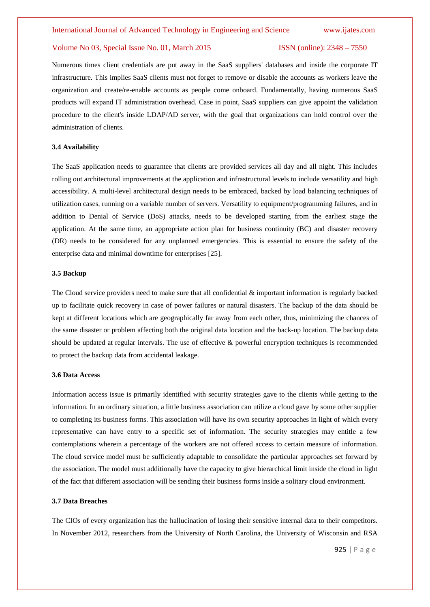Numerous times client credentials are put away in the SaaS suppliers' databases and inside the corporate IT infrastructure. This implies SaaS clients must not forget to remove or disable the accounts as workers leave the organization and create/re-enable accounts as people come onboard. Fundamentally, having numerous SaaS products will expand IT administration overhead. Case in point, SaaS suppliers can give appoint the validation procedure to the client's inside LDAP/AD server, with the goal that organizations can hold control over the administration of clients.

#### **3.4 Availability**

The SaaS application needs to guarantee that clients are provided services all day and all night. This includes rolling out architectural improvements at the application and infrastructural levels to include versatility and high accessibility. A multi-level architectural design needs to be embraced, backed by load balancing techniques of utilization cases, running on a variable number of servers. Versatility to equipment/programming failures, and in addition to Denial of Service (DoS) attacks, needs to be developed starting from the earliest stage the application. At the same time, an appropriate action plan for business continuity (BC) and disaster recovery (DR) needs to be considered for any unplanned emergencies. This is essential to ensure the safety of the enterprise data and minimal downtime for enterprises [25].

### **3.5 Backup**

The Cloud service providers need to make sure that all confidential & important information is regularly backed up to facilitate quick recovery in case of power failures or natural disasters. The backup of the data should be kept at different locations which are geographically far away from each other, thus, minimizing the chances of the same disaster or problem affecting both the original data location and the back-up location. The backup data should be updated at regular intervals. The use of effective & powerful encryption techniques is recommended to protect the backup data from accidental leakage.

# **3.6 Data Access**

Information access issue is primarily identified with security strategies gave to the clients while getting to the information. In an ordinary situation, a little business association can utilize a cloud gave by some other supplier to completing its business forms. This association will have its own security approaches in light of which every representative can have entry to a specific set of information. The security strategies may entitle a few contemplations wherein a percentage of the workers are not offered access to certain measure of information. The cloud service model must be sufficiently adaptable to consolidate the particular approaches set forward by the association. The model must additionally have the capacity to give hierarchical limit inside the cloud in light of the fact that different association will be sending their business forms inside a solitary cloud environment.

#### **3.7 Data Breaches**

The CIOs of every organization has the hallucination of losing their sensitive internal data to their competitors. In November 2012, researchers from the University of North Carolina, the University of Wisconsin and RSA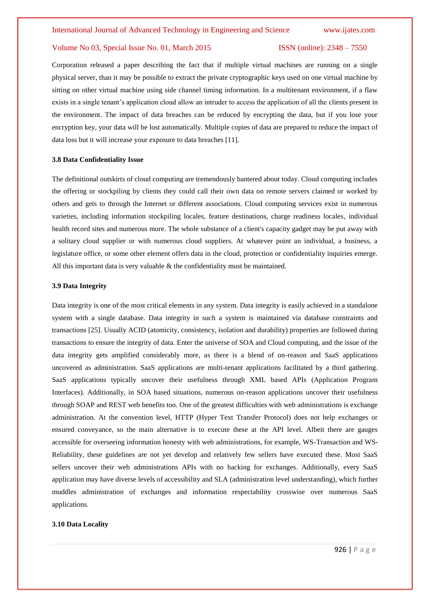Corporation released a paper describing the fact that if multiple virtual machines are running on a single physical server, than it may be possible to extract the private cryptographic keys used on one virtual machine by sitting on other virtual machine using side channel timing information. In a multitenant environment, if a flaw exists in a single tenant's application cloud allow an intruder to access the application of all the clients present in the environment. The impact of data breaches can be reduced by encrypting the data, but if you lose your encryption key, your data will be lost automatically. Multiple copies of data are prepared to reduce the impact of data loss but it will increase your exposure to data breaches [11].

#### **3.8 Data Confidentiality Issue**

The definitional outskirts of cloud computing are tremendously bantered about today. Cloud computing includes the offering or stockpiling by clients they could call their own data on remote servers claimed or worked by others and gets to through the Internet or different associations. Cloud computing services exist in numerous varieties, including information stockpiling locales, feature destinations, charge readiness locales, individual health record sites and numerous more. The whole substance of a client's capacity gadget may be put away with a solitary cloud supplier or with numerous cloud suppliers. At whatever point an individual, a business, a legislature office, or some other element offers data in the cloud, protection or confidentiality inquiries emerge. All this important data is very valuable & the confidentiality must be maintained.

#### **3.9 Data Integrity**

Data integrity is one of the most critical elements in any system. Data integrity is easily achieved in a standalone system with a single database. Data integrity in such a system is maintained via database constraints and transactions [25]. Usually ACID (atomicity, consistency, isolation and durability) properties are followed during transactions to ensure the integrity of data. Enter the universe of SOA and Cloud computing, and the issue of the data integrity gets amplified considerably more, as there is a blend of on-reason and SaaS applications uncovered as administration. SaaS applications are multi-tenant applications facilitated by a third gathering. SaaS applications typically uncover their usefulness through XML based APIs (Application Program Interfaces). Additionally, in SOA based situations, numerous on-reason applications uncover their usefulness through SOAP and REST web benefits too. One of the greatest difficulties with web administrations is exchange administration. At the convention level, HTTP (Hyper Text Transfer Protocol) does not help exchanges or ensured conveyance, so the main alternative is to execute these at the API level. Albeit there are gauges accessible for overseeing information honesty with web administrations, for example, WS-Transaction and WS-Reliability, these guidelines are not yet develop and relatively few sellers have executed these. Most SaaS sellers uncover their web administrations APIs with no backing for exchanges. Additionally, every SaaS application may have diverse levels of accessibility and SLA (administration level understanding), which further muddles administration of exchanges and information respectability crosswise over numerous SaaS applications.

#### **3.10 Data Locality**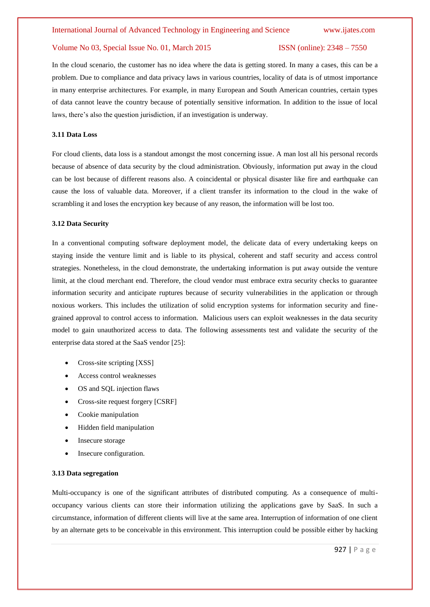In the cloud scenario, the customer has no idea where the data is getting stored. In many a cases, this can be a problem. Due to compliance and data privacy laws in various countries, locality of data is of utmost importance in many enterprise architectures. For example, in many European and South American countries, certain types of data cannot leave the country because of potentially sensitive information. In addition to the issue of local laws, there's also the question jurisdiction, if an investigation is underway.

#### **3.11 Data Loss**

For cloud clients, data loss is a standout amongst the most concerning issue. A man lost all his personal records because of absence of data security by the cloud administration. Obviously, information put away in the cloud can be lost because of different reasons also. A coincidental or physical disaster like fire and earthquake can cause the loss of valuable data. Moreover, if a client transfer its information to the cloud in the wake of scrambling it and loses the encryption key because of any reason, the information will be lost too.

#### **3.12 Data Security**

In a conventional computing software deployment model, the delicate data of every undertaking keeps on staying inside the venture limit and is liable to its physical, coherent and staff security and access control strategies. Nonetheless, in the cloud demonstrate, the undertaking information is put away outside the venture limit, at the cloud merchant end. Therefore, the cloud vendor must embrace extra security checks to guarantee information security and anticipate ruptures because of security vulnerabilities in the application or through noxious workers. This includes the utilization of solid encryption systems for information security and finegrained approval to control access to information. Malicious users can exploit weaknesses in the data security model to gain unauthorized access to data. The following assessments test and validate the security of the enterprise data stored at the SaaS vendor [25]:

- Cross-site scripting [XSS]
- Access control weaknesses
- OS and SQL injection flaws
- Cross-site request forgery [CSRF]
- Cookie manipulation
- Hidden field manipulation
- Insecure storage
- Insecure configuration.

#### **3.13 Data segregation**

Multi-occupancy is one of the significant attributes of distributed computing. As a consequence of multioccupancy various clients can store their information utilizing the applications gave by SaaS. In such a circumstance, information of different clients will live at the same area. Interruption of information of one client by an alternate gets to be conceivable in this environment. This interruption could be possible either by hacking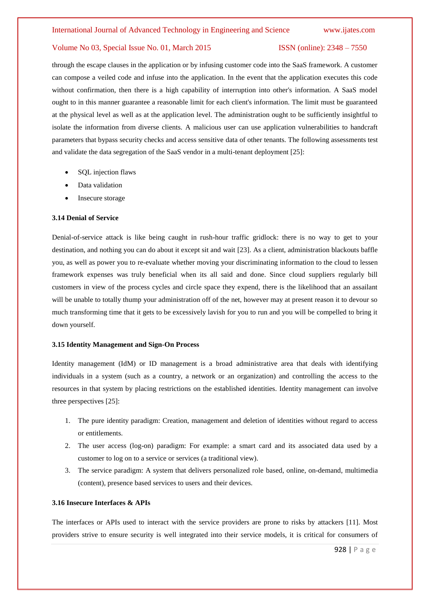through the escape clauses in the application or by infusing customer code into the SaaS framework. A customer can compose a veiled code and infuse into the application. In the event that the application executes this code without confirmation, then there is a high capability of interruption into other's information. A SaaS model ought to in this manner guarantee a reasonable limit for each client's information. The limit must be guaranteed at the physical level as well as at the application level. The administration ought to be sufficiently insightful to isolate the information from diverse clients. A malicious user can use application vulnerabilities to handcraft parameters that bypass security checks and access sensitive data of other tenants. The following assessments test and validate the data segregation of the SaaS vendor in a multi-tenant deployment [25]:

- SQL injection flaws
- Data validation
- Insecure storage

#### **3.14 Denial of Service**

Denial-of-service attack is like being caught in rush-hour traffic gridlock: there is no way to get to your destination, and nothing you can do about it except sit and wait [23]. As a client, administration blackouts baffle you, as well as power you to re-evaluate whether moving your discriminating information to the cloud to lessen framework expenses was truly beneficial when its all said and done. Since cloud suppliers regularly bill customers in view of the process cycles and circle space they expend, there is the likelihood that an assailant will be unable to totally thump your administration off of the net, however may at present reason it to devour so much transforming time that it gets to be excessively lavish for you to run and you will be compelled to bring it down yourself.

#### **3.15 Identity Management and Sign-On Process**

Identity management (IdM) or ID management is a broad administrative area that deals with identifying individuals in a system (such as a country, a network or an organization) and controlling the access to the resources in that system by placing restrictions on the established identities. Identity management can involve three perspectives [25]:

- 1. The pure identity paradigm: Creation, management and deletion of identities without regard to access or entitlements.
- 2. The user access (log-on) paradigm: For example: a smart card and its associated data used by a customer to log on to a service or services (a traditional view).
- 3. The service paradigm: A system that delivers personalized role based, online, on-demand, multimedia (content), presence based services to users and their devices.

#### **3.16 Insecure Interfaces & APIs**

The interfaces or APIs used to interact with the service providers are prone to risks by attackers [11]. Most providers strive to ensure security is well integrated into their service models, it is critical for consumers of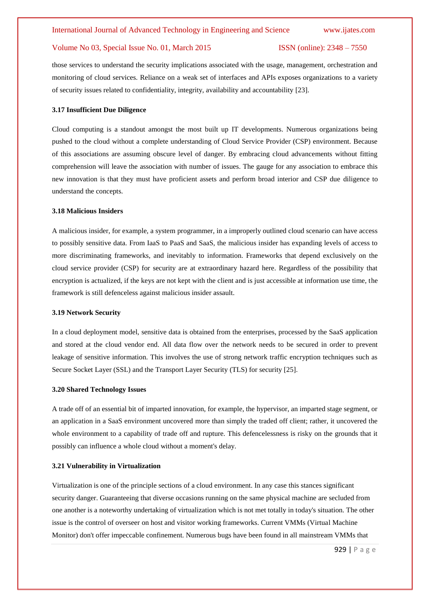those services to understand the security implications associated with the usage, management, orchestration and monitoring of cloud services. Reliance on a weak set of interfaces and APIs exposes organizations to a variety of security issues related to confidentiality, integrity, availability and accountability [23].

#### **3.17 Insufficient Due Diligence**

Cloud computing is a standout amongst the most built up IT developments. Numerous organizations being pushed to the cloud without a complete understanding of Cloud Service Provider (CSP) environment. Because of this associations are assuming obscure level of danger. By embracing cloud advancements without fitting comprehension will leave the association with number of issues. The gauge for any association to embrace this new innovation is that they must have proficient assets and perform broad interior and CSP due diligence to understand the concepts.

### **3.18 Malicious Insiders**

A malicious insider, for example, a system programmer, in a improperly outlined cloud scenario can have access to possibly sensitive data. From IaaS to PaaS and SaaS, the malicious insider has expanding levels of access to more discriminating frameworks, and inevitably to information. Frameworks that depend exclusively on the cloud service provider (CSP) for security are at extraordinary hazard here. Regardless of the possibility that encryption is actualized, if the keys are not kept with the client and is just accessible at information use time, the framework is still defenceless against malicious insider assault.

#### **3.19 Network Security**

In a cloud deployment model, sensitive data is obtained from the enterprises, processed by the SaaS application and stored at the cloud vendor end. All data flow over the network needs to be secured in order to prevent leakage of sensitive information. This involves the use of strong network traffic encryption techniques such as Secure Socket Layer (SSL) and the Transport Layer Security (TLS) for security [25].

#### **3.20 Shared Technology Issues**

A trade off of an essential bit of imparted innovation, for example, the hypervisor, an imparted stage segment, or an application in a SaaS environment uncovered more than simply the traded off client; rather, it uncovered the whole environment to a capability of trade off and rupture. This defencelessness is risky on the grounds that it possibly can influence a whole cloud without a moment's delay.

#### **3.21 Vulnerability in Virtualization**

Virtualization is one of the principle sections of a cloud environment. In any case this stances significant security danger. Guaranteeing that diverse occasions running on the same physical machine are secluded from one another is a noteworthy undertaking of virtualization which is not met totally in today's situation. The other issue is the control of overseer on host and visitor working frameworks. Current VMMs (Virtual Machine Monitor) don't offer impeccable confinement. Numerous bugs have been found in all mainstream VMMs that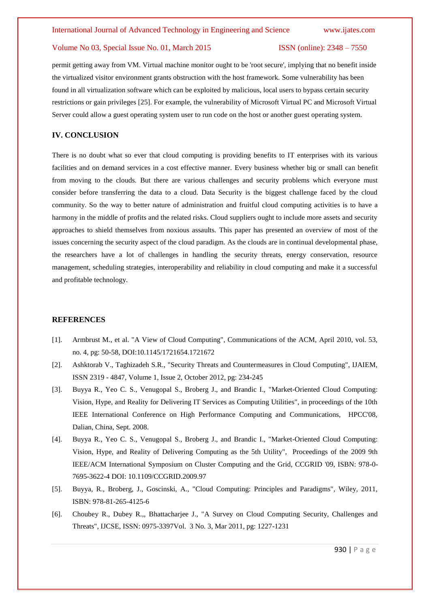permit getting away from VM. Virtual machine monitor ought to be 'root secure', implying that no benefit inside the virtualized visitor environment grants obstruction with the host framework. Some vulnerability has been found in all virtualization software which can be exploited by malicious, local users to bypass certain security restrictions or gain privileges [25]. For example, the vulnerability of Microsoft Virtual PC and Microsoft Virtual Server could allow a guest operating system user to run code on the host or another guest operating system.

### **IV. CONCLUSION**

There is no doubt what so ever that cloud computing is providing benefits to IT enterprises with its various facilities and on demand services in a cost effective manner. Every business whether big or small can benefit from moving to the clouds. But there are various challenges and security problems which everyone must consider before transferring the data to a cloud. Data Security is the biggest challenge faced by the cloud community. So the way to better nature of administration and fruitful cloud computing activities is to have a harmony in the middle of profits and the related risks. Cloud suppliers ought to include more assets and security approaches to shield themselves from noxious assaults. This paper has presented an overview of most of the issues concerning the security aspect of the cloud paradigm. As the clouds are in continual developmental phase, the researchers have a lot of challenges in handling the security threats, energy conservation, resource management, scheduling strategies, interoperability and reliability in cloud computing and make it a successful and profitable technology.

### **REFERENCES**

- [1]. Armbrust M., et al. "A View of Cloud Computing", Communications of the ACM, April 2010, vol. 53, no. 4, pg: 50-58, DOI:10.1145/1721654.1721672
- [2]. Ashktorab V., Taghizadeh S.R., "Security Threats and Countermeasures in Cloud Computing", IJAIEM, ISSN 2319 - 4847, Volume 1, Issue 2, October 2012, pg: 234-245
- [3]. Buyya R., Yeo C. S., Venugopal S., Broberg J., and Brandic I., "Market-Oriented Cloud Computing: Vision, Hype, and Reality for Delivering IT Services as Computing Utilities", in proceedings of the 10th IEEE International Conference on High Performance Computing and Communications, HPCC'08, Dalian, China, Sept. 2008.
- [4]. Buyya R., Yeo C. S., Venugopal S., Broberg J., and Brandic I., "Market-Oriented Cloud Computing: Vision, Hype, and Reality of Delivering Computing as the 5th Utility", Proceedings of the 2009 9th IEEE/ACM International Symposium on Cluster Computing and the Grid, CCGRID '09, ISBN: 978-0- 7695-3622-4 DOI: 10.1109/CCGRID.2009.97
- [5]. Buyya, R., Broberg, J., Goscinski, A., "Cloud Computing: Principles and Paradigms", Wiley, 2011, ISBN: 978-81-265-4125-6
- [6]. Choubey R., Dubey R.,, Bhattacharjee J., "A Survey on Cloud Computing Security, Challenges and Threats", IJCSE, ISSN: 0975-3397Vol. 3 No. 3, Mar 2011, pg: 1227-1231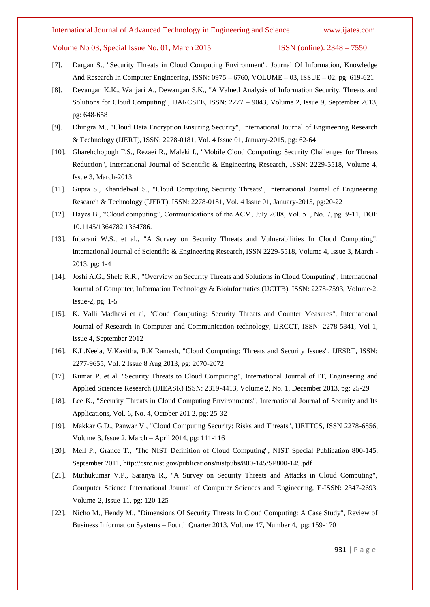Volume No 03, Special Issue No. 01, March 2015 **ISSN** (online): 2348 – 7550

$$
SN(online): 2348, 7550
$$

- [7]. Dargan S., "Security Threats in Cloud Computing Environment", Journal Of Information, Knowledge And Research In Computer Engineering, ISSN: 0975 – 6760, VOLUME – 03, ISSUE – 02, pg: 619-621
- [8]. Devangan K.K., Wanjari A., Dewangan S.K., "A Valued Analysis of Information Security, Threats and Solutions for Cloud Computing", IJARCSEE, ISSN: 2277 – 9043, Volume 2, Issue 9, September 2013, pg: 648-658
- [9]. Dhingra M., "Cloud Data Encryption Ensuring Security", International Journal of Engineering Research & Technology (IJERT), ISSN: 2278-0181, Vol. 4 Issue 01, January-2015, pg: 62-64
- [10]. Gharehchopogh F.S., Rezaei R., Maleki I., "Mobile Cloud Computing: Security Challenges for Threats Reduction", International Journal of Scientific & Engineering Research, ISSN: 2229-5518, Volume 4, Issue 3, March-2013
- [11]. Gupta S., Khandelwal S., "Cloud Computing Security Threats", International Journal of Engineering Research & Technology (IJERT), ISSN: 2278-0181, Vol. 4 Issue 01, January-2015, pg:20-22
- [12]. Hayes B., "Cloud computing", Communications of the ACM, July 2008, Vol. 51, No. 7, pg. 9-11, DOI: 10.1145/1364782.1364786.
- [13]. Inbarani W.S., et al., "A Survey on Security Threats and Vulnerabilities In Cloud Computing", International Journal of Scientific & Engineering Research, ISSN 2229-5518, Volume 4, Issue 3, March - 2013, pg: 1-4
- [14]. Joshi A.G., Shele R.R., "Overview on Security Threats and Solutions in Cloud Computing", International Journal of Computer, Information Technology & Bioinformatics (IJCITB), ISSN: 2278-7593, Volume-2, Issue-2, pg: 1-5
- [15]. K. Valli Madhavi et al, "Cloud Computing: Security Threats and Counter Measures", International Journal of Research in Computer and Communication technology, IJRCCT, ISSN: 2278-5841, Vol 1, Issue 4, September 2012
- [16]. K.L.Neela, V.Kavitha, R.K.Ramesh, "Cloud Computing: Threats and Security Issues", IJESRT, ISSN: 2277-9655, Vol. 2 Issue 8 Aug 2013, pg: 2070-2072
- [17]. Kumar P. et al. "Security Threats to Cloud Computing", International Journal of IT, Engineering and Applied Sciences Research (IJIEASR) ISSN: 2319-4413, Volume 2, No. 1, December 2013, pg: 25-29
- [18]. Lee K., "Security Threats in Cloud Computing Environments", International Journal of Security and Its Applications, Vol. 6, No. 4, October 201 2, pg: 25-32
- [19]. Makkar G.D., Panwar V., "Cloud Computing Security: Risks and Threats", IJETTCS, ISSN 2278-6856, Volume 3, Issue 2, March – April 2014, pg: 111-116
- [20]. Mell P., Grance T., "The NIST Definition of Cloud Computing", NIST Special Publication 800-145, September 2011, http://csrc.nist.gov/publications/nistpubs/800-145/SP800-145.pdf
- [21]. Muthukumar V.P., Saranya R., "A Survey on Security Threats and Attacks in Cloud Computing", Computer Science International Journal of Computer Sciences and Engineering, E-ISSN: 2347-2693, Volume-2, Issue-11, pg: 120-125
- [22]. Nicho M., Hendy M., "Dimensions Of Security Threats In Cloud Computing: A Case Study", Review of Business Information Systems – Fourth Quarter 2013, Volume 17, Number 4, pg: 159-170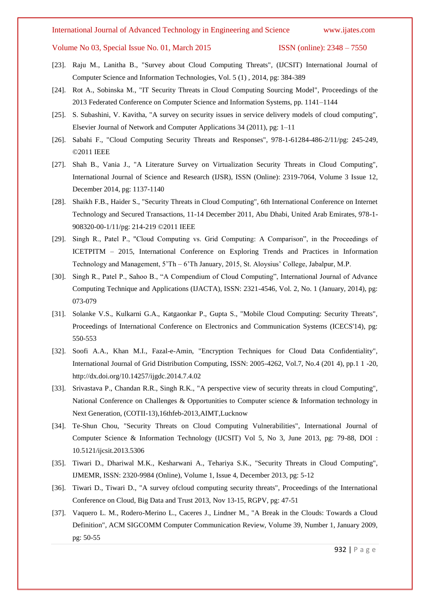Volume No 03, Special Issue No. 01, March 2015 ISSN (online): 2348 – 7550

- [23]. Raju M., Lanitha B., "Survey about Cloud Computing Threats", (IJCSIT) International Journal of Computer Science and Information Technologies, Vol. 5 (1) , 2014, pg: 384-389
- [24]. Rot A., Sobinska M., "IT Security Threats in Cloud Computing Sourcing Model", Proceedings of the 2013 Federated Conference on Computer Science and Information Systems, pp. 1141–1144
- [25]. S. Subashini, V. Kavitha, "A survey on security issues in service delivery models of cloud computing", Elsevier Journal of Network and Computer Applications 34 (2011), pg: 1–11
- [26]. Sabahi F., "Cloud Computing Security Threats and Responses", 978-1-61284-486-2/11/pg: 245-249, ©2011 IEEE
- [27]. Shah B., Vania J., "A Literature Survey on Virtualization Security Threats in Cloud Computing", International Journal of Science and Research (IJSR), ISSN (Online): 2319-7064, Volume 3 Issue 12, December 2014, pg: 1137-1140
- [28]. Shaikh F.B., Haider S., "Security Threats in Cloud Computing", 6th International Conference on Internet Technology and Secured Transactions, 11-14 December 2011, Abu Dhabi, United Arab Emirates, 978-1- 908320-00-1/11/pg: 214-219 ©2011 IEEE
- [29]. Singh R., Patel P., "Cloud Computing vs. Grid Computing: A Comparison", in the Proceedings of ICETPITM – 2015, International Conference on Exploring Trends and Practices in Information Technology and Management, 5'Th – 6'Th January, 2015, St. Aloysius' College, Jabalpur, M.P.
- [30]. Singh R., Patel P., Sahoo B., "A Compendium of Cloud Computing", International Journal of Advance Computing Technique and Applications (IJACTA), ISSN: 2321-4546, Vol. 2, No. 1 (January, 2014), pg: 073-079
- [31]. Solanke V.S., Kulkarni G.A., Katgaonkar P., Gupta S., "Mobile Cloud Computing: Security Threats", Proceedings of International Conference on Electronics and Communication Systems (ICECS'14), pg: 550-553
- [32]. Soofi A.A., Khan M.I., Fazal-e-Amin, "Encryption Techniques for Cloud Data Confidentiality", International Journal of Grid Distribution Computing, ISSN: 2005-4262, Vol.7, No.4 (201 4), pp.1 1 -20, http://dx.doi.org/10.14257/ijgdc.2014.7.4.02
- [33]. Srivastava P., Chandan R.R., Singh R.K., "A perspective view of security threats in cloud Computing", National Conference on Challenges & Opportunities to Computer science & Information technology in Next Generation, (COTII-13),16thfeb-2013,AIMT,Lucknow
- [34]. Te-Shun Chou, "Security Threats on Cloud Computing Vulnerabilities", International Journal of Computer Science & Information Technology (IJCSIT) Vol 5, No 3, June 2013, pg: 79-88, DOI : 10.5121/ijcsit.2013.5306
- [35]. Tiwari D., Dhariwal M.K., Kesharwani A., Tehariya S.K., "Security Threats in Cloud Computing", IJMEMR, ISSN: 2320-9984 (Online), Volume 1, Issue 4, December 2013, pg: 5-12
- [36]. Tiwari D., Tiwari D., "A survey ofcloud computing security threats", Proceedings of the International Conference on Cloud, Big Data and Trust 2013, Nov 13-15, RGPV, pg: 47-51
- [37]. Vaquero L. M., Rodero-Merino L., Caceres J., Lindner M., "A Break in the Clouds: Towards a Cloud Definition", ACM SIGCOMM Computer Communication Review, Volume 39, Number 1, January 2009, pg: 50-55